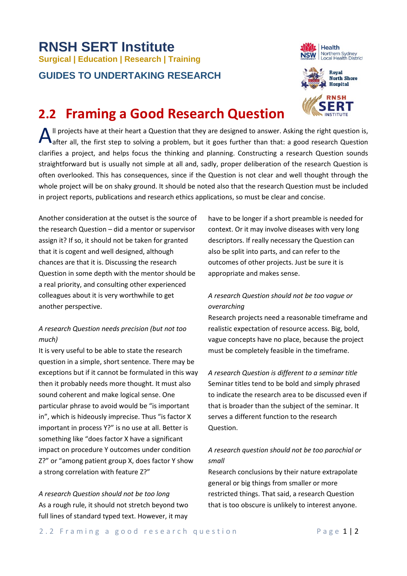# **RNSH SERT Institute Surgical <sup>|</sup> Education | Research | Training GUIDES TO UNDERTAKING RESEARCH**





# **2.2 Framing a Good Research Question**

Il projects have at their heart a Question that they are designed to answer. Asking the right question is,  $\bigwedge$ <sup>II</sup> projects have at their heart a Question that they are designed to answer. Asking the right question is, after all, the first step to solving a problem, but it goes further than that: a good research Question clarifies a project, and helps focus the thinking and planning. Constructing a research Question sounds straightforward but is usually not simple at all and, sadly, proper deliberation of the research Question is often overlooked. This has consequences, since if the Question is not clear and well thought through the whole project will be on shaky ground. It should be noted also that the research Question must be included in project reports, publications and research ethics applications, so must be clear and concise.

Another consideration at the outset is the source of the research Question – did a mentor or supervisor assign it? If so, it should not be taken for granted that it is cogent and well designed, although chances are that it is. Discussing the research Question in some depth with the mentor should be a real priority, and consulting other experienced colleagues about it is very worthwhile to get another perspective.

### *A research Question needs precision (but not too much)*

It is very useful to be able to state the research question in a simple, short sentence. There may be exceptions but if it cannot be formulated in this way then it probably needs more thought. It must also sound coherent and make logical sense. One particular phrase to avoid would be "is important in", which is hideously imprecise. Thus "is factor X important in process Y?" is no use at all. Better is something like "does factor X have a significant impact on procedure Y outcomes under condition Z?" or "among patient group X, does factor Y show a strong correlation with feature Z?"

*A research Question should not be too long* As a rough rule, it should not stretch beyond two full lines of standard typed text. However, it may

have to be longer if a short preamble is needed for context. Or it may involve diseases with very long descriptors. If really necessary the Question can also be split into parts, and can refer to the outcomes of other projects. Just be sure it is appropriate and makes sense.

# *A research Question should not be too vague or overarching*

Research projects need a reasonable timeframe and realistic expectation of resource access. Big, bold, vague concepts have no place, because the project must be completely feasible in the timeframe.

*A research Question is different to a seminar title* Seminar titles tend to be bold and simply phrased to indicate the research area to be discussed even if that is broader than the subject of the seminar. It serves a different function to the research Question.

## *A research question should not be too parochial or small*

Research conclusions by their nature extrapolate general or big things from smaller or more restricted things. That said, a research Question that is too obscure is unlikely to interest anyone.